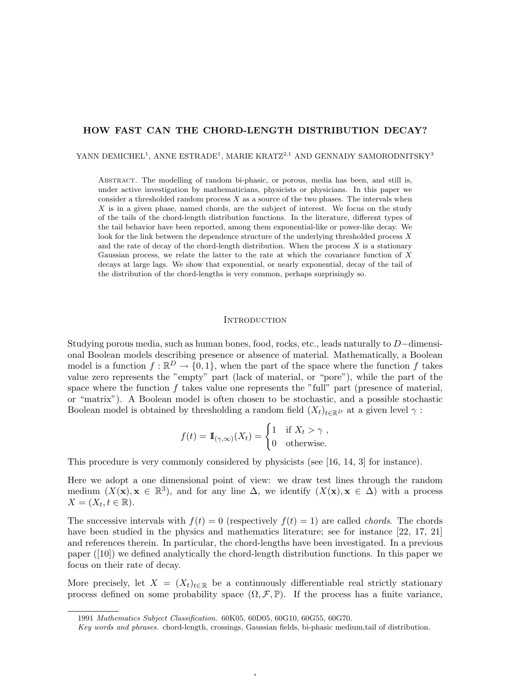# HOW FAST CAN THE CHORD-LENGTH DISTRIBUTION DECAY?

YANN DEMICHEL<sup>1</sup>, ANNE ESTRADE<sup>1</sup>, MARIE KRATZ<sup>2,1</sup> AND GENNADY SAMORODNITSKY<sup>3</sup>

Abstract. The modelling of random bi-phasic, or porous, media has been, and still is, under active investigation by mathematicians, physicists or physicians. In this paper we consider a thresholded random process  $X$  as a source of the two phases. The intervals when X is in a given phase, named chords, are the subject of interest. We focus on the study of the tails of the chord-length distribution functions. In the literature, different types of the tail behavior have been reported, among them exponential-like or power-like decay. We look for the link between the dependence structure of the underlying thresholded process  $X$ and the rate of decay of the chord-length distribution. When the process  $X$  is a stationary Gaussian process, we relate the latter to the rate at which the covariance function of X decays at large lags. We show that exponential, or nearly exponential, decay of the tail of the distribution of the chord-lengths is very common, perhaps surprisingly so.

#### **INTRODUCTION**

Studying porous media, such as human bones, food, rocks, etc., leads naturally to D−dimensional Boolean models describing presence or absence of material. Mathematically, a Boolean model is a function  $f : \mathbb{R}^D \to \{0,1\}$ , when the part of the space where the function f takes value zero represents the "empty" part (lack of material, or "pore"), while the part of the space where the function  $f$  takes value one represents the "full" part (presence of material, or "matrix"). A Boolean model is often chosen to be stochastic, and a possible stochastic Boolean model is obtained by thresholding a random field  $(X_t)_{t\in\mathbb{R}^D}$  at a given level  $\gamma$ :

$$
f(t) = 1\!\!1_{(\gamma,\infty)}(X_t) = \begin{cases} 1 & \text{if } X_t > \gamma, \\ 0 & \text{otherwise.} \end{cases}
$$

This procedure is very commonly considered by physicists (see [16, 14, 3] for instance).

Here we adopt a one dimensional point of view: we draw test lines through the random medium  $(X(\mathbf{x}), \mathbf{x} \in \mathbb{R}^3)$ , and for any line  $\Delta$ , we identify  $(X(\mathbf{x}), \mathbf{x} \in \Delta)$  with a process  $X=(X_t, t\in\mathbb{R}).$ 

The successive intervals with  $f(t) = 0$  (respectively  $f(t) = 1$ ) are called *chords*. The chords have been studied in the physics and mathematics literature; see for instance [22, 17, 21] and references therein. In particular, the chord-lengths have been investigated. In a previous paper ([10]) we defined analytically the chord-length distribution functions. In this paper we focus on their rate of decay.

More precisely, let  $X = (X_t)_{t \in \mathbb{R}}$  be a continuously differentiable real strictly stationary process defined on some probability space  $(\Omega, \mathcal{F}, \mathbb{P})$ . If the process has a finite variance,

1

<sup>1991</sup> Mathematics Subject Classification. 60K05, 60D05, 60G10, 60G55, 60G70.

Key words and phrases. chord-length, crossings, Gaussian fields, bi-phasic medium,tail of distribution.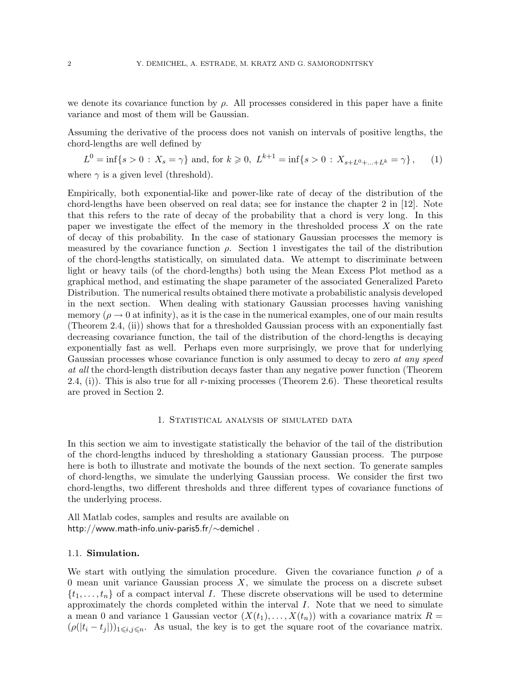we denote its covariance function by  $\rho$ . All processes considered in this paper have a finite variance and most of them will be Gaussian.

Assuming the derivative of the process does not vanish on intervals of positive lengths, the chord-lengths are well defined by

 $L^0 = \inf\{s > 0 : X_s = \gamma\}$  and, for  $k \geq 0$ ,  $L^{k+1} = \inf\{s > 0 : X_{s+L^0 + \dots + L^k} = \gamma\}$ , (1)

where  $\gamma$  is a given level (threshold).

Empirically, both exponential-like and power-like rate of decay of the distribution of the chord-lengths have been observed on real data; see for instance the chapter 2 in [12]. Note that this refers to the rate of decay of the probability that a chord is very long. In this paper we investigate the effect of the memory in the thresholded process  $X$  on the rate of decay of this probability. In the case of stationary Gaussian processes the memory is measured by the covariance function  $\rho$ . Section 1 investigates the tail of the distribution of the chord-lengths statistically, on simulated data. We attempt to discriminate between light or heavy tails (of the chord-lengths) both using the Mean Excess Plot method as a graphical method, and estimating the shape parameter of the associated Generalized Pareto Distribution. The numerical results obtained there motivate a probabilistic analysis developed in the next section. When dealing with stationary Gaussian processes having vanishing memory ( $\rho \rightarrow 0$  at infinity), as it is the case in the numerical examples, one of our main results (Theorem 2.4, (ii)) shows that for a thresholded Gaussian process with an exponentially fast decreasing covariance function, the tail of the distribution of the chord-lengths is decaying exponentially fast as well. Perhaps even more surprisingly, we prove that for underlying Gaussian processes whose covariance function is only assumed to decay to zero at any speed at all the chord-length distribution decays faster than any negative power function (Theorem  $2.4$ , (i)). This is also true for all r-mixing processes (Theorem 2.6). These theoretical results are proved in Section 2.

#### 1. STATISTICAL ANALYSIS OF SIMULATED DATA

In this section we aim to investigate statistically the behavior of the tail of the distribution of the chord-lengths induced by thresholding a stationary Gaussian process. The purpose here is both to illustrate and motivate the bounds of the next section. To generate samples of chord-lengths, we simulate the underlying Gaussian process. We consider the first two chord-lengths, two different thresholds and three different types of covariance functions of the underlying process.

All Matlab codes, samples and results are available on http://www.math-info.univ-paris5.fr/∼demichel .

### 1.1. Simulation.

We start with outlying the simulation procedure. Given the covariance function  $\rho$  of a 0 mean unit variance Gaussian process  $X$ , we simulate the process on a discrete subset  $\{t_1, \ldots, t_n\}$  of a compact interval I. These discrete observations will be used to determine approximately the chords completed within the interval  $I$ . Note that we need to simulate a mean 0 and variance 1 Gaussian vector  $(X(t_1),...,X(t_n))$  with a covariance matrix  $R=$  $(\rho(|t_i-t_j|))_{1\leq i,j\leq n}$ . As usual, the key is to get the square root of the covariance matrix.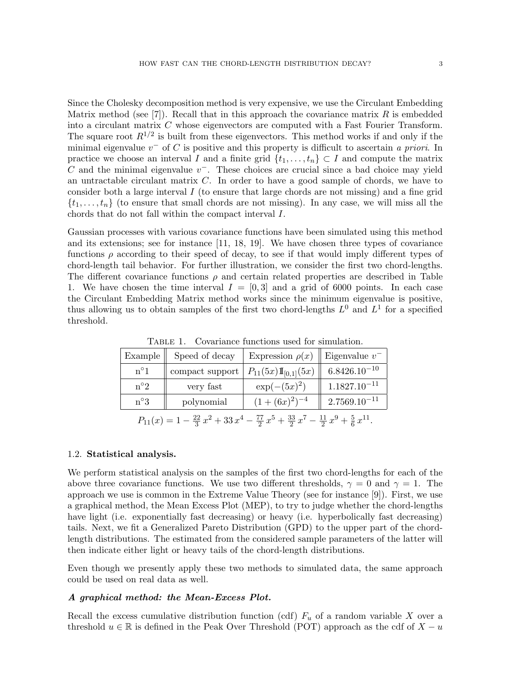Since the Cholesky decomposition method is very expensive, we use the Circulant Embedding Matrix method (see [7]). Recall that in this approach the covariance matrix R is embedded into a circulant matrix C whose eigenvectors are computed with a Fast Fourier Transform. The square root  $R^{1/2}$  is built from these eigenvectors. This method works if and only if the minimal eigenvalue  $v^-$  of C is positive and this property is difficult to ascertain a priori. In practice we choose an interval I and a finite grid  $\{t_1, \ldots, t_n\} \subset I$  and compute the matrix  $C$  and the minimal eigenvalue  $v^-$ . These choices are crucial since a bad choice may yield an untractable circulant matrix C. In order to have a good sample of chords, we have to consider both a large interval  $I$  (to ensure that large chords are not missing) and a fine grid  $\{t_1, \ldots, t_n\}$  (to ensure that small chords are not missing). In any case, we will miss all the chords that do not fall within the compact interval I.

Gaussian processes with various covariance functions have been simulated using this method and its extensions; see for instance [11, 18, 19]. We have chosen three types of covariance functions  $\rho$  according to their speed of decay, to see if that would imply different types of chord-length tail behavior. For further illustration, we consider the first two chord-lengths. The different covariance functions  $\rho$  and certain related properties are described in Table 1. We have chosen the time interval  $I = [0, 3]$  and a grid of 6000 points. In each case the Circulant Embedding Matrix method works since the minimum eigenvalue is positive, thus allowing us to obtain samples of the first two chord-lengths  $L^0$  and  $L^1$  for a specified threshold.

| Example                                                                                                              | Speed of decay  | Expression $\rho(x)$   Eigenvalue $v^-$ |                   |  |  |
|----------------------------------------------------------------------------------------------------------------------|-----------------|-----------------------------------------|-------------------|--|--|
| $n^{\circ}1$                                                                                                         | compact support | $P_{11}(5x) \mathbb{I}_{[0,1]}(5x)$     | $6.8426.10^{-10}$ |  |  |
| $n^{\circ}2$                                                                                                         | very fast       | $\exp(-(5x)^2)$                         | $1.1827.10^{-11}$ |  |  |
| $n^{\circ}3$                                                                                                         | polynomial      | $(1+(6x)^2)^{-4}$                       | $2.7569.10^{-11}$ |  |  |
| $P_{11}(x) = 1 - \frac{22}{3}x^2 + 33x^4 - \frac{77}{2}x^5 + \frac{33}{2}x^7 - \frac{11}{2}x^9 + \frac{5}{6}x^{11}.$ |                 |                                         |                   |  |  |

Table 1. Covariance functions used for simulation.

## 1.2. Statistical analysis.

We perform statistical analysis on the samples of the first two chord-lengths for each of the above three covariance functions. We use two different thresholds,  $\gamma = 0$  and  $\gamma = 1$ . The approach we use is common in the Extreme Value Theory (see for instance [9]). First, we use a graphical method, the Mean Excess Plot (MEP), to try to judge whether the chord-lengths have light (i.e. exponentially fast decreasing) or heavy (i.e. hyperbolically fast decreasing) tails. Next, we fit a Generalized Pareto Distribution (GPD) to the upper part of the chordlength distributions. The estimated from the considered sample parameters of the latter will then indicate either light or heavy tails of the chord-length distributions.

Even though we presently apply these two methods to simulated data, the same approach could be used on real data as well.

## A graphical method: the Mean-Excess Plot.

Recall the excess cumulative distribution function (cdf)  $F_u$  of a random variable X over a threshold  $u \in \mathbb{R}$  is defined in the Peak Over Threshold (POT) approach as the cdf of  $X - u$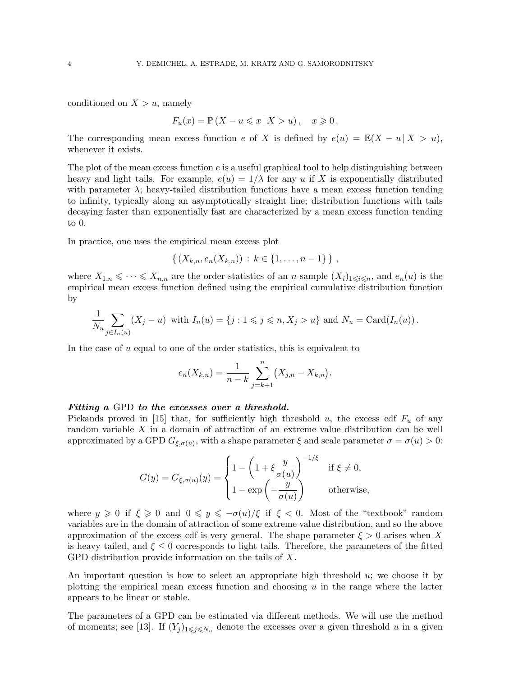conditioned on  $X > u$ , namely

$$
F_u(x) = \mathbb{P}(X - u \leqslant x \mid X > u), \quad x \geqslant 0.
$$

The corresponding mean excess function e of X is defined by  $e(u) = \mathbb{E}(X - u | X > u)$ , whenever it exists.

The plot of the mean excess function  $e$  is a useful graphical tool to help distinguishing between heavy and light tails. For example,  $e(u) = 1/\lambda$  for any u if X is exponentially distributed with parameter  $\lambda$ ; heavy-tailed distribution functions have a mean excess function tending to infinity, typically along an asymptotically straight line; distribution functions with tails decaying faster than exponentially fast are characterized by a mean excess function tending to 0.

In practice, one uses the empirical mean excess plot

$$
\{(X_{k,n}, e_n(X_{k,n})) : k \in \{1, \ldots, n-1\} \},
$$

where  $X_{1,n} \leq \cdots \leq X_{n,n}$  are the order statistics of an *n*-sample  $(X_i)_{1 \leq i \leq n}$ , and  $e_n(u)$  is the empirical mean excess function defined using the empirical cumulative distribution function by

$$
\frac{1}{N_u}\sum_{j\in I_n(u)}(X_j-u) \text{ with } I_n(u)=\{j: 1\leqslant j\leqslant n, X_j>u\} \text{ and } N_u=\text{Card}(I_n(u))\,.
$$

In the case of  $u$  equal to one of the order statistics, this is equivalent to

$$
e_n(X_{k,n}) = \frac{1}{n-k} \sum_{j=k+1}^n (X_{j,n} - X_{k,n}).
$$

### Fitting a GPD to the excesses over a threshold.

Pickands proved in [15] that, for sufficiently high threshold u, the excess cdf  $F_u$  of any random variable  $X$  in a domain of attraction of an extreme value distribution can be well approximated by a GPD  $G_{\xi,\sigma(u)}$ , with a shape parameter  $\xi$  and scale parameter  $\sigma = \sigma(u) > 0$ :

$$
G(y) = G_{\xi, \sigma(u)}(y) = \begin{cases} 1 - \left(1 + \xi \frac{y}{\sigma(u)}\right)^{-1/\xi} & \text{if } \xi \neq 0, \\ 1 - \exp\left(-\frac{y}{\sigma(u)}\right) & \text{otherwise,} \end{cases}
$$

where  $y \ge 0$  if  $\xi \ge 0$  and  $0 \le y \le -\sigma(u)/\xi$  if  $\xi < 0$ . Most of the "textbook" random variables are in the domain of attraction of some extreme value distribution, and so the above approximation of the excess cdf is very general. The shape parameter  $\xi > 0$  arises when X is heavy tailed, and  $\xi \leq 0$  corresponds to light tails. Therefore, the parameters of the fitted GPD distribution provide information on the tails of X.

An important question is how to select an appropriate high threshold  $u$ ; we choose it by plotting the empirical mean excess function and choosing  $u$  in the range where the latter appears to be linear or stable.

The parameters of a GPD can be estimated via different methods. We will use the method of moments; see [13]. If  $(Y_j)_{1\leqslant j\leqslant N_u}$  denote the excesses over a given threshold u in a given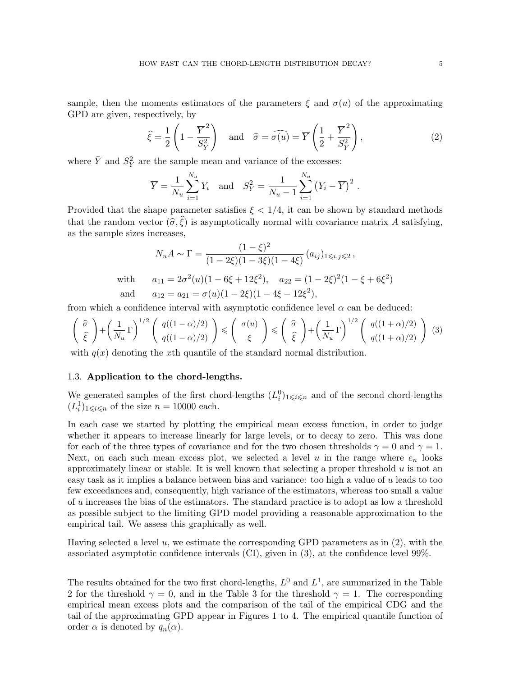sample, then the moments estimators of the parameters  $\xi$  and  $\sigma(u)$  of the approximating GPD are given, respectively, by

$$
\widehat{\xi} = \frac{1}{2} \left( 1 - \frac{\overline{Y}^2}{S_Y^2} \right) \quad \text{and} \quad \widehat{\sigma} = \widehat{\sigma(u)} = \overline{Y} \left( \frac{1}{2} + \frac{\overline{Y}^2}{S_Y^2} \right), \tag{2}
$$

where  $\bar{Y}$  and  $S_Y^2$  are the sample mean and variance of the excesses:

$$
\overline{Y} = \frac{1}{N_u} \sum_{i=1}^{N_u} Y_i
$$
 and  $S_Y^2 = \frac{1}{N_u - 1} \sum_{i=1}^{N_u} (Y_i - \overline{Y})^2$ .

Provided that the shape parameter satisfies  $\xi < 1/4$ , it can be shown by standard methods that the random vector  $(\widehat{\sigma}, \widehat{\xi})$  is asymptotically normal with covariance matrix A satisfying, as the sample sizes increases,

$$
N_u A \sim \Gamma = \frac{(1-\xi)^2}{(1-2\xi)(1-3\xi)(1-4\xi)} (a_{ij})_{1\le i,j\le 2},
$$
  
with 
$$
a_{11} = 2\sigma^2(u)(1-6\xi+12\xi^2), \quad a_{22} = (1-2\xi)^2(1-\xi+6\xi^2)
$$
  
and 
$$
a_{12} = a_{21} = \sigma(u)(1-2\xi)(1-4\xi-12\xi^2),
$$

from which a confidence interval with asymptotic confidence level  $\alpha$  can be deduced:

$$
\left(\begin{array}{c}\widehat{\sigma}\\ \widehat{\xi}\end{array}\right) + \left(\frac{1}{N_u}\Gamma\right)^{1/2} \left(\begin{array}{c}q((1-\alpha)/2)\\ q((1-\alpha)/2)\end{array}\right) \leqslant \left(\begin{array}{c}\sigma(u)\\\xi\end{array}\right) \leqslant \left(\begin{array}{c}\widehat{\sigma}\\ \widehat{\xi}\end{array}\right) + \left(\frac{1}{N_u}\Gamma\right)^{1/2} \left(\begin{array}{c}q((1+\alpha)/2)\\ q((1+\alpha)/2)\end{array}\right) \tag{3}
$$

with  $q(x)$  denoting the xth quantile of the standard normal distribution.

## 1.3. Application to the chord-lengths.

We generated samples of the first chord-lengths  $(L_i^0)_{1 \leq i \leq n}$  and of the second chord-lengths  $(L_i^1)_{1 \leq i \leq n}$  of the size  $n = 10000$  each.

In each case we started by plotting the empirical mean excess function, in order to judge whether it appears to increase linearly for large levels, or to decay to zero. This was done for each of the three types of covariance and for the two chosen thresholds  $\gamma = 0$  and  $\gamma = 1$ . Next, on each such mean excess plot, we selected a level u in the range where  $e_n$  looks approximately linear or stable. It is well known that selecting a proper threshold  $u$  is not an easy task as it implies a balance between bias and variance: too high a value of u leads to too few exceedances and, consequently, high variance of the estimators, whereas too small a value of u increases the bias of the estimators. The standard practice is to adopt as low a threshold as possible subject to the limiting GPD model providing a reasonable approximation to the empirical tail. We assess this graphically as well.

Having selected a level u, we estimate the corresponding GPD parameters as in (2), with the associated asymptotic confidence intervals (CI), given in (3), at the confidence level 99%.

The results obtained for the two first chord-lengths,  $L^0$  and  $L^1$ , are summarized in the Table 2 for the threshold  $\gamma = 0$ , and in the Table 3 for the threshold  $\gamma = 1$ . The corresponding empirical mean excess plots and the comparison of the tail of the empirical CDG and the tail of the approximating GPD appear in Figures 1 to 4. The empirical quantile function of order  $\alpha$  is denoted by  $q_n(\alpha)$ .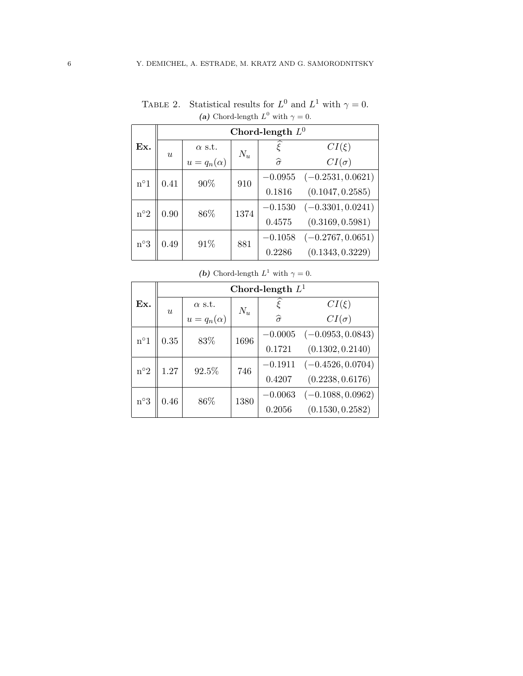|              | Chord-length $L^0$ |                 |       |                    |                     |
|--------------|--------------------|-----------------|-------|--------------------|---------------------|
| Ex.          | $\boldsymbol{u}$   | $\alpha$ s.t.   | $N_u$ | $\zeta$            | $CI(\xi)$           |
|              |                    | $u=q_n(\alpha)$ |       | $\widehat{\sigma}$ | $CI(\sigma)$        |
| $n^{\circ}1$ | 0.41               | 90%             | 910   | $-0.0955$          | $(-0.2531, 0.0621)$ |
|              |                    |                 |       | 0.1816             | (0.1047, 0.2585)    |
| $n^{\circ}2$ | 0.90               | 86\%            | 1374  | $-0.1530$          | $(-0.3301, 0.0241)$ |
|              |                    |                 |       | 0.4575             | (0.3169, 0.5981)    |
| $n^{\circ}3$ | 0.49               | 91%             | 881   | $-0.1058$          | $(-0.2767, 0.0651)$ |
|              |                    |                 |       | 0.2286             | (0.1343, 0.3229)    |

TABLE 2. Statistical results for  $L^0$  and  $L^1$  with  $\gamma = 0$ . (a) Chord-length  $L^0$  with  $\gamma = 0$ .

|                      | Chord-length $L^1$ |                 |       |                    |                     |
|----------------------|--------------------|-----------------|-------|--------------------|---------------------|
| Ex.                  |                    | $\alpha$ s.t.   | $N_u$ | $\tilde{\xi}$      | $CI(\xi)$           |
|                      | $\boldsymbol{u}$   | $u=q_n(\alpha)$ |       | $\widehat{\sigma}$ | $CI(\sigma)$        |
| $n^{\circ}1$         | $0.35\,$           | 83%             | 1696  | $-0.0005$          | $(-0.0953, 0.0843)$ |
|                      |                    |                 |       | 0.1721             | (0.1302, 0.2140)    |
| $n^{\circ}2$<br>1.27 |                    | 92.5%           | 746   | $-0.1911$          | $(-0.4526, 0.0704)$ |
|                      |                    |                 |       | 0.4207             | (0.2238, 0.6176)    |
| $n^{\circ}3$         | 0.46               | 86\%            | 1380  | $-0.0063$          | $(-0.1088, 0.0962)$ |
|                      |                    |                 |       | 0.2056             | (0.1530, 0.2582)    |

(b) Chord-length  $L^1$  with  $\gamma = 0$ .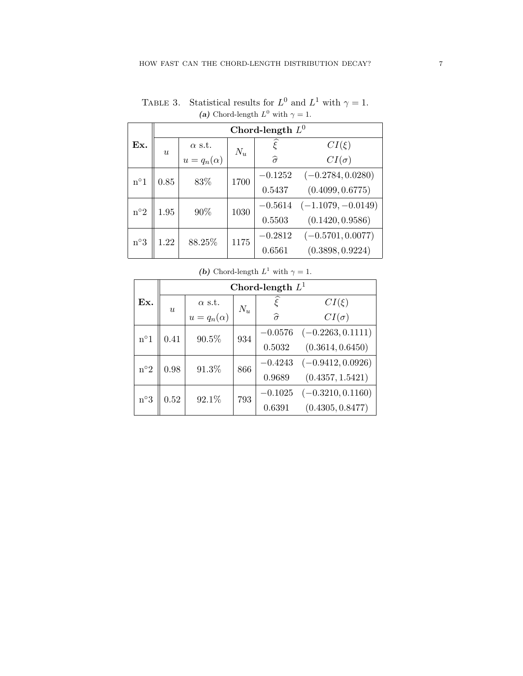|              | Chord-length $L^0$ |                   |       |                    |                      |
|--------------|--------------------|-------------------|-------|--------------------|----------------------|
| Ex.          | u                  | $\alpha$ s.t.     | $N_u$ | ¢                  | $CI(\xi)$            |
|              |                    | $u = q_n(\alpha)$ |       | $\widehat{\sigma}$ | $CI(\sigma)$         |
| $n^{\circ}1$ | 0.85               | 83%               | 1700  | $-0.1252$          | $(-0.2784, 0.0280)$  |
|              |                    |                   |       | 0.5437             | (0.4099, 0.6775)     |
| $n^{\circ}2$ | 1.95               | 90%               | 1030  | $-0.5614$          | $(-1.1079, -0.0149)$ |
|              |                    |                   |       | 0.5503             | (0.1420, 0.9586)     |
| $n^{\circ}3$ | 1.22               | 88.25%            | 1175  | $-0.2812$          | $(-0.5701, 0.0077)$  |
|              |                    |                   |       | 0.6561             | (0.3898, 0.9224)     |

TABLE 3. Statistical results for  $L^0$  and  $L^1$  with  $\gamma = 1$ . (a) Chord-length  $L^0$  with  $\gamma = 1$ .

|              | Chord-length $L^1$ |                   |       |                           |                     |
|--------------|--------------------|-------------------|-------|---------------------------|---------------------|
| Ex.          | $\boldsymbol{u}$   | $\alpha$ s.t.     | $N_u$ | $\widetilde{\varepsilon}$ | $CI(\xi)$           |
|              |                    | $u = q_n(\alpha)$ |       | $\widehat{\sigma}$        | $CI(\sigma)$        |
| $n^{\circ}1$ | 0.41               | 90.5%             | 934   | $-0.0576$                 | $(-0.2263, 0.1111)$ |
|              |                    |                   |       | 0.5032                    | (0.3614, 0.6450)    |
|              | $\rm n^o2$<br>0.98 | 91.3%             | 866   | $-0.4243$                 | $(-0.9412, 0.0926)$ |
|              |                    |                   |       | 0.9689                    | (0.4357, 1.5421)    |
| $n^{\circ}3$ | 0.52               | 92.1%             | 793   | $-0.1025$                 | $(-0.3210, 0.1160)$ |
|              |                    |                   |       | 0.6391                    | (0.4305, 0.8477)    |

(b) Chord-length  $L^1$  with  $\gamma = 1$ .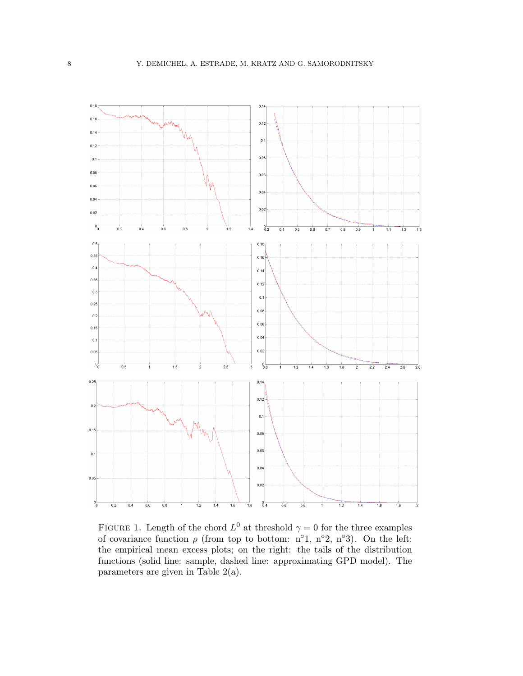

FIGURE 1. Length of the chord  $L^0$  at threshold  $\gamma = 0$  for the three examples of covariance function  $\rho$  (from top to bottom: n°1, n°2, n°3). On the left: the empirical mean excess plots; on the right: the tails of the distribution functions (solid line: sample, dashed line: approximating GPD model). The parameters are given in Table 2(a).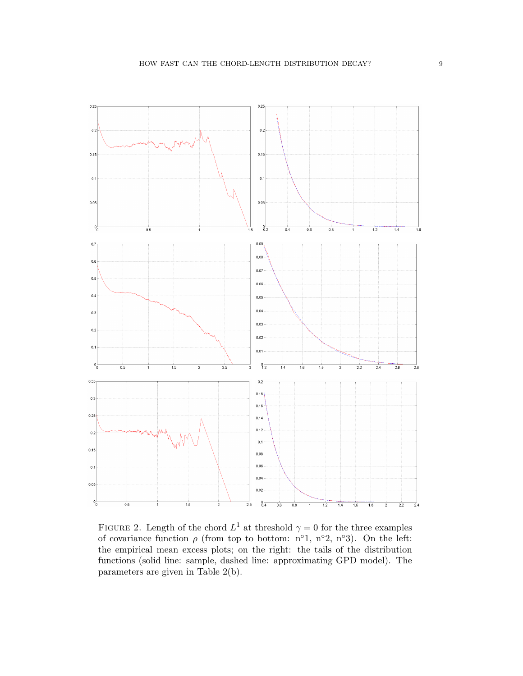

FIGURE 2. Length of the chord  $L^1$  at threshold  $\gamma = 0$  for the three examples of covariance function  $\rho$  (from top to bottom: n°1, n°2, n°3). On the left: the empirical mean excess plots; on the right: the tails of the distribution functions (solid line: sample, dashed line: approximating GPD model). The parameters are given in Table 2(b).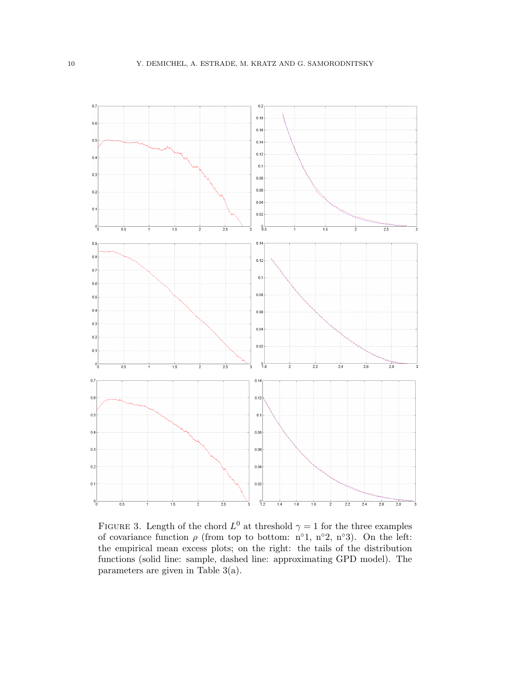

FIGURE 3. Length of the chord  $L^0$  at threshold  $\gamma = 1$  for the three examples of covariance function  $\rho$  (from top to bottom: n°1, n°2, n°3). On the left: the empirical mean excess plots; on the right: the tails of the distribution functions (solid line: sample, dashed line: approximating GPD model). The parameters are given in Table 3(a).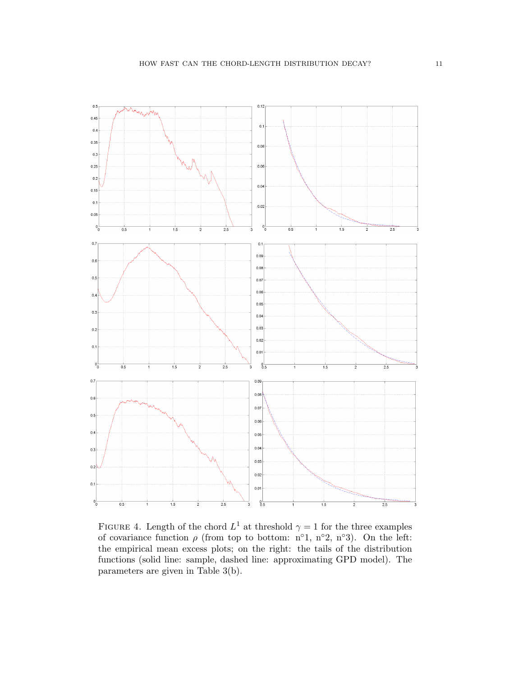

FIGURE 4. Length of the chord  $L^1$  at threshold  $\gamma = 1$  for the three examples of covariance function  $\rho$  (from top to bottom: n°1, n°2, n°3). On the left: the empirical mean excess plots; on the right: the tails of the distribution functions (solid line: sample, dashed line: approximating GPD model). The parameters are given in Table 3(b).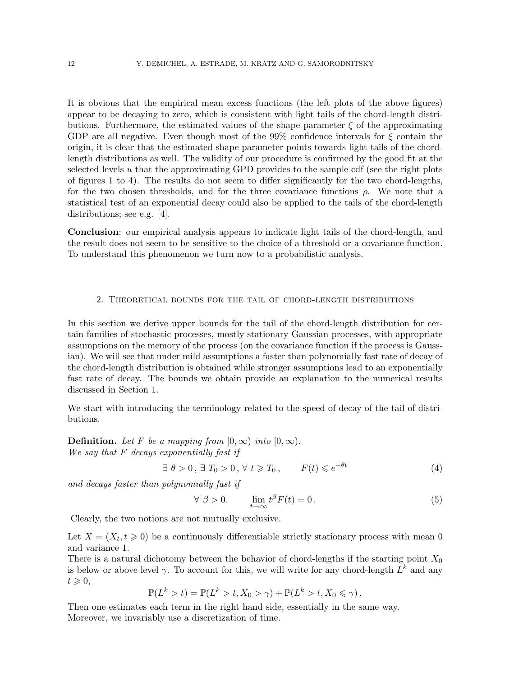It is obvious that the empirical mean excess functions (the left plots of the above figures) appear to be decaying to zero, which is consistent with light tails of the chord-length distributions. Furthermore, the estimated values of the shape parameter  $\xi$  of the approximating GDP are all negative. Even though most of the 99% confidence intervals for  $\xi$  contain the origin, it is clear that the estimated shape parameter points towards light tails of the chordlength distributions as well. The validity of our procedure is confirmed by the good fit at the selected levels  $u$  that the approximating GPD provides to the sample cdf (see the right plots of figures 1 to 4). The results do not seem to differ significantly for the two chord-lengths, for the two chosen thresholds, and for the three covariance functions  $\rho$ . We note that a statistical test of an exponential decay could also be applied to the tails of the chord-length distributions; see e.g. [4].

Conclusion: our empirical analysis appears to indicate light tails of the chord-length, and the result does not seem to be sensitive to the choice of a threshold or a covariance function. To understand this phenomenon we turn now to a probabilistic analysis.

# 2. Theoretical bounds for the tail of chord-length distributions

In this section we derive upper bounds for the tail of the chord-length distribution for certain families of stochastic processes, mostly stationary Gaussian processes, with appropriate assumptions on the memory of the process (on the covariance function if the process is Gaussian). We will see that under mild assumptions a faster than polynomially fast rate of decay of the chord-length distribution is obtained while stronger assumptions lead to an exponentially fast rate of decay. The bounds we obtain provide an explanation to the numerical results discussed in Section 1.

We start with introducing the terminology related to the speed of decay of the tail of distributions.

**Definition.** Let F be a mapping from  $[0, \infty)$  into  $[0, \infty)$ . We say that F decays exponentially fast if

$$
\exists \theta > 0, \exists T_0 > 0, \forall t \geq T_0, \qquad F(t) \leqslant e^{-\theta t} \tag{4}
$$

and decays faster than polynomially fast if

$$
\forall \ \beta > 0, \qquad \lim_{t \to \infty} t^{\beta} F(t) = 0. \tag{5}
$$

Clearly, the two notions are not mutually exclusive.

Let  $X = (X_t, t \geq 0)$  be a continuously differentiable strictly stationary process with mean 0 and variance 1.

There is a natural dichotomy between the behavior of chord-lengths if the starting point  $X_0$ is below or above level  $\gamma$ . To account for this, we will write for any chord-length  $L^k$  and any  $t \geqslant 0$ ,

$$
\mathbb{P}(L^k > t) = \mathbb{P}(L^k > t, X_0 > \gamma) + \mathbb{P}(L^k > t, X_0 \leq \gamma).
$$

Then one estimates each term in the right hand side, essentially in the same way. Moreover, we invariably use a discretization of time.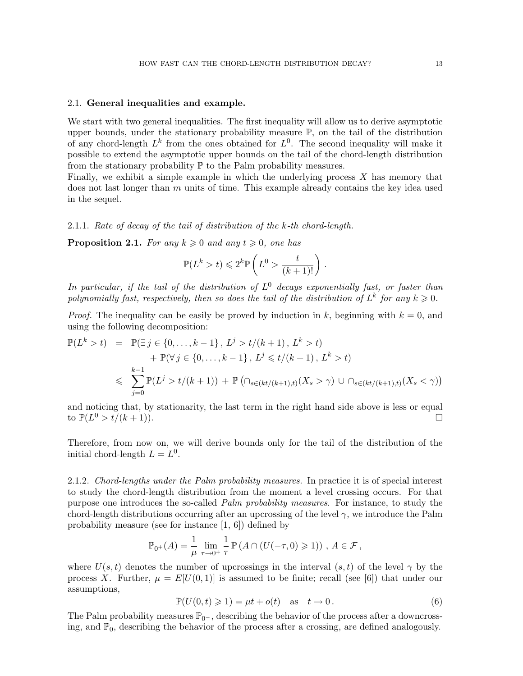### 2.1. General inequalities and example.

We start with two general inequalities. The first inequality will allow us to derive asymptotic upper bounds, under the stationary probability measure  $\mathbb{P}$ , on the tail of the distribution of any chord-length  $L^k$  from the ones obtained for  $L^0$ . The second inequality will make it possible to extend the asymptotic upper bounds on the tail of the chord-length distribution from the stationary probability  $\mathbb P$  to the Palm probability measures.

Finally, we exhibit a simple example in which the underlying process X has memory that does not last longer than  $m$  units of time. This example already contains the key idea used in the sequel.

## 2.1.1. Rate of decay of the tail of distribution of the k-th chord-length.

**Proposition 2.1.** For any  $k \geq 0$  and any  $t \geq 0$ , one has

$$
\mathbb{P}(L^k > t) \leq 2^k \mathbb{P}\left(L^0 > \frac{t}{(k+1)!}\right)
$$

.

In particular, if the tail of the distribution of  $L^0$  decays exponentially fast, or faster than polynomially fast, respectively, then so does the tail of the distribution of  $L^k$  for any  $k \geqslant 0$ .

*Proof.* The inequality can be easily be proved by induction in k, beginning with  $k = 0$ , and using the following decomposition:

$$
\mathbb{P}(L^k > t) = \mathbb{P}(\exists j \in \{0, ..., k-1\}, L^j > t/(k+1), L^k > t) \n+ \mathbb{P}(\forall j \in \{0, ..., k-1\}, L^j \le t/(k+1), L^k > t) \n\le \sum_{j=0}^{k-1} \mathbb{P}(L^j > t/(k+1)) + \mathbb{P}(\bigcap_{s \in (kt/(k+1), t)} (X_s > \gamma) \cup \bigcap_{s \in (kt/(k+1), t)} (X_s < \gamma))
$$

and noticing that, by stationarity, the last term in the right hand side above is less or equal to  $\mathbb{P}(L^0 > t/(k+1)).$ 

Therefore, from now on, we will derive bounds only for the tail of the distribution of the initial chord-length  $L = L^0$ .

2.1.2. Chord-lengths under the Palm probability measures. In practice it is of special interest to study the chord-length distribution from the moment a level crossing occurs. For that purpose one introduces the so-called Palm probability measures. For instance, to study the chord-length distributions occurring after an upcrossing of the level  $\gamma$ , we introduce the Palm probability measure (see for instance [1, 6]) defined by

$$
\mathbb{P}_{0^+}(A) = \frac{1}{\mu} \lim_{\tau \to 0^+} \frac{1}{\tau} \mathbb{P}\left(A \cap (U(-\tau,0) \geq 1)\right), \ A \in \mathcal{F},
$$

where  $U(s,t)$  denotes the number of upcrossings in the interval  $(s,t)$  of the level  $\gamma$  by the process X. Further,  $\mu = E[U(0,1)]$  is assumed to be finite; recall (see [6]) that under our assumptions,

$$
\mathbb{P}(U(0,t)\geq 1) = \mu t + o(t) \quad \text{as} \quad t \to 0. \tag{6}
$$

The Palm probability measures  $\mathbb{P}_{0}$ -, describing the behavior of the process after a downcrossing, and  $\mathbb{P}_0$ , describing the behavior of the process after a crossing, are defined analogously.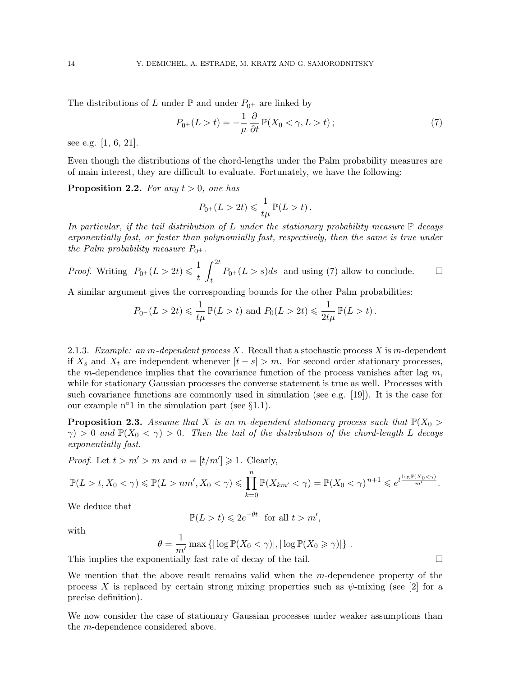The distributions of L under  $\mathbb{P}$  and under  $P_{0+}$  are linked by

$$
P_{0+}(L>t) = -\frac{1}{\mu} \frac{\partial}{\partial t} \mathbb{P}(X_0 < \gamma, L > t) ; \qquad (7)
$$

see e.g. [1, 6, 21].

Even though the distributions of the chord-lengths under the Palm probability measures are of main interest, they are difficult to evaluate. Fortunately, we have the following:

**Proposition 2.2.** For any  $t > 0$ , one has

$$
P_{0^+}(L>2t)\leqslant \frac{1}{t\mu}\,\mathbb{P}(L>t)\,.
$$

In particular, if the tail distribution of L under the stationary probability measure  $\mathbb P$  decays exponentially fast, or faster than polynomially fast, respectively, then the same is true under the Palm probability measure  $P_{0+}$ .

*Proof.* Writing  $P_{0+}(L > 2t) \leq \frac{1}{t}$ t  $\int_0^{2t}$  $P_{0+}(L > s)ds$  and using (7) allow to conclude.  $\square$ 

A similar argument gives the corresponding bounds for the other Palm probabilities:

$$
P_{0^-}(L > 2t) \leq \frac{1}{t\mu} \mathbb{P}(L > t)
$$
 and  $P_0(L > 2t) \leq \frac{1}{2t\mu} \mathbb{P}(L > t)$ .

2.1.3. Example: an m-dependent process X. Recall that a stochastic process X is m-dependent if  $X_s$  and  $X_t$  are independent whenever  $|t - s| > m$ . For second order stationary processes, the m-dependence implies that the covariance function of the process vanishes after lag  $m$ , while for stationary Gaussian processes the converse statement is true as well. Processes with such covariance functions are commonly used in simulation (see e.g. [19]). It is the case for our example  $n^{\circ}1$  in the simulation part (see §1.1).

**Proposition 2.3.** Assume that X is an m-dependent stationary process such that  $\mathbb{P}(X_0 >$  $\gamma$ ) > 0 and  $\mathbb{P}(X_0 < \gamma)$  > 0. Then the tail of the distribution of the chord-length L decays exponentially fast.

*Proof.* Let  $t > m' > m$  and  $n = [t/m'] \geq 1$ . Clearly,

$$
\mathbb{P}(L>t, X_0<\gamma)\leqslant \mathbb{P}(L>nm', X_0<\gamma)\leqslant \prod_{k=0}^n \mathbb{P}(X_{km'}<\gamma)=\mathbb{P}(X_0<\gamma)^{n+1}\leqslant e^{t\frac{\log \mathbb{P}(X_0<\gamma)}{m'}}.
$$

We deduce that

$$
\mathbb{P}(L > t) \leq 2e^{-\theta t} \text{ for all } t > m',
$$

with

$$
\theta = \frac{1}{m'} \max \left\{ |\log \mathbb{P}(X_0 < \gamma)|, |\log \mathbb{P}(X_0 \ge \gamma)| \right\}.
$$

This implies the exponentially fast rate of decay of the tail.

We mention that the above result remains valid when the  $m$ -dependence property of the process X is replaced by certain strong mixing properties such as  $\psi$ -mixing (see [2] for a precise definition).

We now consider the case of stationary Gaussian processes under weaker assumptions than the m-dependence considered above.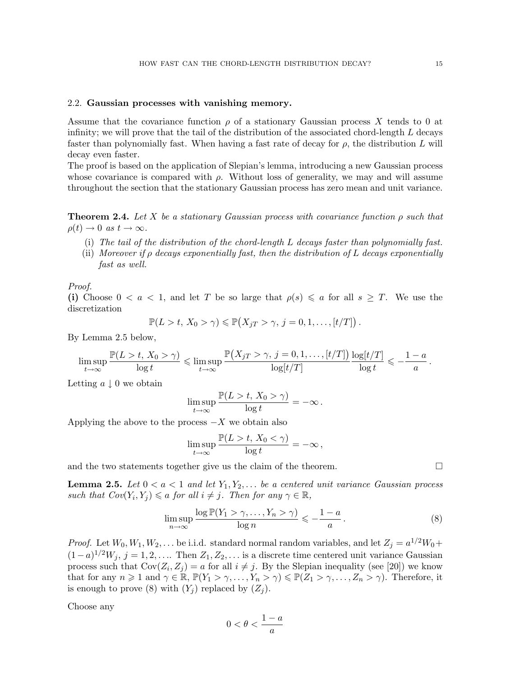## 2.2. Gaussian processes with vanishing memory.

Assume that the covariance function  $\rho$  of a stationary Gaussian process X tends to 0 at infinity; we will prove that the tail of the distribution of the associated chord-length  $L$  decays faster than polynomially fast. When having a fast rate of decay for  $\rho$ , the distribution L will decay even faster.

The proof is based on the application of Slepian's lemma, introducing a new Gaussian process whose covariance is compared with  $\rho$ . Without loss of generality, we may and will assume throughout the section that the stationary Gaussian process has zero mean and unit variance.

**Theorem 2.4.** Let X be a stationary Gaussian process with covariance function  $\rho$  such that  $\rho(t) \to 0$  as  $t \to \infty$ .

- (i) The tail of the distribution of the chord-length L decays faster than polynomially fast.
- (ii) Moreover if  $\rho$  decays exponentially fast, then the distribution of L decays exponentially fast as well.

#### Proof.

(i) Choose  $0 < a < 1$ , and let T be so large that  $\rho(s) \leq a$  for all  $s \geq T$ . We use the discretization

$$
\mathbb{P}(L > t, X_0 > \gamma) \leq \mathbb{P}(X_{jT} > \gamma, j = 0, 1, \ldots, [t/T]).
$$

By Lemma 2.5 below,

$$
\limsup_{t\to\infty}\frac{\mathbb{P}(L>t,\,X_0>\gamma)}{\log t}\leqslant \limsup_{t\to\infty}\frac{\mathbb{P}\big(X_{jT}>\gamma,\,j=0,1,\ldots,[t/T]\big)}{\log[t/T]}\frac{\log[t/T]}{\log t}\leqslant-\frac{1-a}{a}\,.
$$

Letting  $a \downarrow 0$  we obtain

$$
\limsup_{t\to\infty}\frac{\mathbb{P}(L>t,\,X_0>\gamma)}{\log t}=-\infty\,.
$$

Applying the above to the process  $-X$  we obtain also

$$
\limsup_{t\to\infty}\frac{\mathbb{P}(L>t,\,X_0<\gamma)}{\log t}=-\infty\,,
$$

and the two statements together give us the claim of the theorem.  $\Box$ 

**Lemma 2.5.** Let  $0 < a < 1$  and let  $Y_1, Y_2, \ldots$  be a centered unit variance Gaussian process such that  $Cov(Y_i, Y_j) \leq a$  for all  $i \neq j$ . Then for any  $\gamma \in \mathbb{R}$ ,

$$
\limsup_{n \to \infty} \frac{\log \mathbb{P}(Y_1 > \gamma, \dots, Y_n > \gamma)}{\log n} \leqslant -\frac{1-a}{a} \,. \tag{8}
$$

*Proof.* Let  $W_0, W_1, W_2, \ldots$  be i.i.d. standard normal random variables, and let  $Z_j = a^{1/2}W_0 +$  $(1-a)^{1/2}W_j$ ,  $j=1,2,\ldots$  Then  $Z_1, Z_2, \ldots$  is a discrete time centered unit variance Gaussian process such that  $Cov(Z_i, Z_j) = a$  for all  $i \neq j$ . By the Slepian inequality (see [20]) we know that for any  $n \geq 1$  and  $\gamma \in \mathbb{R}$ ,  $\mathbb{P}(Y_1 > \gamma, \ldots, Y_n > \gamma) \leq \mathbb{P}(Z_1 > \gamma, \ldots, Z_n > \gamma)$ . Therefore, it is enough to prove (8) with  $(Y_i)$  replaced by  $(Z_i)$ .

Choose any

$$
0<\theta<\frac{1-a}{a}
$$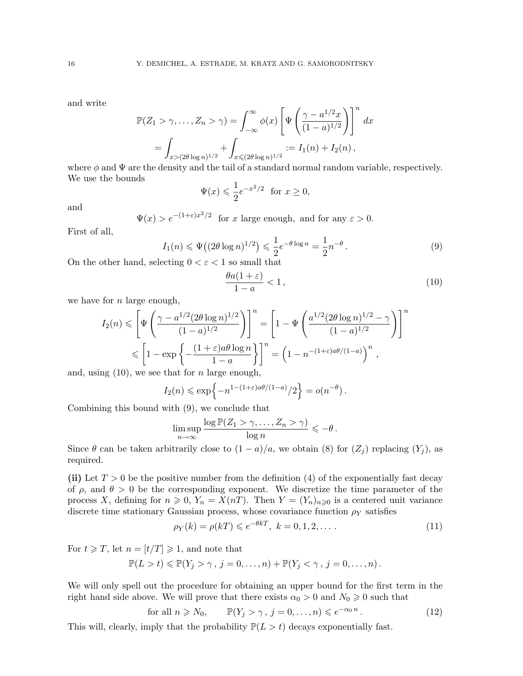and write

$$
\mathbb{P}(Z_1 > \gamma, \dots, Z_n > \gamma) = \int_{-\infty}^{\infty} \phi(x) \left[ \Psi \left( \frac{\gamma - a^{1/2} x}{(1 - a)^{1/2}} \right) \right]^n dx
$$
  
= 
$$
\int_{x > (2\theta \log n)^{1/2}} + \int_{x \leq (2\theta \log n)^{1/2}} := I_1(n) + I_2(n),
$$

where  $\phi$  and  $\Psi$  are the density and the tail of a standard normal random variable, respectively. We use the bounds

$$
\Psi(x) \leqslant \frac{1}{2} e^{-x^2/2} \text{ for } x \geq 0,
$$

and

 $\Psi(x) > e^{-(1+\varepsilon)x^2/2}$  for x large enough, and for any  $\varepsilon > 0$ .

First of all,

$$
I_1(n) \le \Psi((2\theta \log n)^{1/2}) \le \frac{1}{2}e^{-\theta \log n} = \frac{1}{2}n^{-\theta}.
$$
 (9)

On the other hand, selecting  $0 < \varepsilon < 1$  so small that

$$
\frac{\theta a(1+\varepsilon)}{1-a} < 1\,,\tag{10}
$$

we have for  $n$  large enough,

$$
I_2(n) \le \left[ \Psi\left(\frac{\gamma - a^{1/2} (2\theta \log n)^{1/2}}{(1-a)^{1/2}}\right) \right]^n = \left[ 1 - \Psi\left(\frac{a^{1/2} (2\theta \log n)^{1/2} - \gamma}{(1-a)^{1/2}}\right) \right]^n
$$
  

$$
\le \left[ 1 - \exp\left\{-\frac{(1+\varepsilon)a\theta \log n}{1-a}\right\} \right]^n = \left( 1 - n^{-(1+\varepsilon)a\theta/(1-a)} \right)^n,
$$

and, using  $(10)$ , we see that for *n* large enough,

$$
I_2(n) \le \exp\{-n^{1-(1+\varepsilon)a\theta/(1-a)}/2\} = o(n^{-\theta}).
$$

Combining this bound with (9), we conclude that

$$
\limsup_{n \to \infty} \frac{\log \mathbb{P}(Z_1 > \gamma, \dots, Z_n > \gamma)}{\log n} \leqslant -\theta.
$$

Since  $\theta$  can be taken arbitrarily close to  $(1 - a)/a$ , we obtain (8) for  $(Z_i)$  replacing  $(Y_i)$ , as required.

(ii) Let  $T > 0$  be the positive number from the definition (4) of the exponentially fast decay of  $\rho$ , and  $\theta > 0$  be the corresponding exponent. We discretize the time parameter of the process X, defining for  $n \geq 0$ ,  $Y_n = X(nT)$ . Then  $Y = (Y_n)_{n \geq 0}$  is a centered unit variance discrete time stationary Gaussian process, whose covariance function  $\rho_Y$  satisfies

$$
\rho_Y(k) = \rho(k) \le e^{-\theta k}, \ k = 0, 1, 2, \dots \tag{11}
$$

For  $t \geq T$ , let  $n = [t/T] \geq 1$ , and note that

$$
\mathbb{P}(L > t) \leq \mathbb{P}(Y_j > \gamma, j = 0, \ldots, n) + \mathbb{P}(Y_j < \gamma, j = 0, \ldots, n).
$$

We will only spell out the procedure for obtaining an upper bound for the first term in the right hand side above. We will prove that there exists  $\alpha_0 > 0$  and  $N_0 \ge 0$  such that

for all 
$$
n \ge N_0
$$
,  $\mathbb{P}(Y_j > \gamma, j = 0, ..., n) \le e^{-\alpha_0 n}$ . (12)

This will, clearly, imply that the probability  $\mathbb{P}(L > t)$  decays exponentially fast.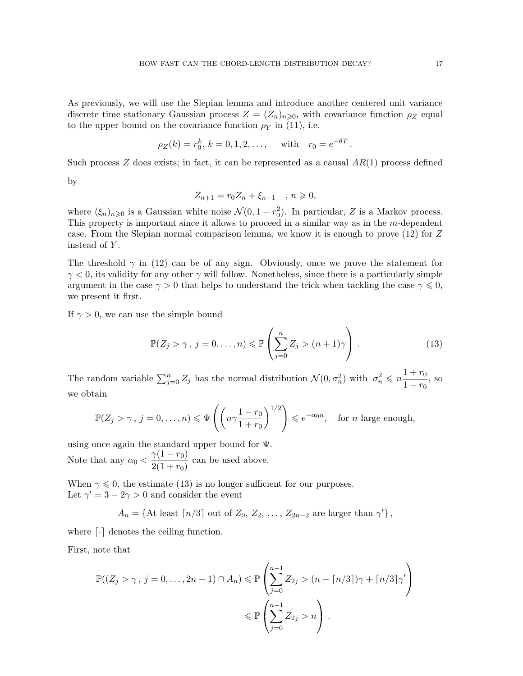As previously, we will use the Slepian lemma and introduce another centered unit variance discrete time stationary Gaussian process  $Z = (Z_n)_{n \geq 0}$ , with covariance function  $\rho_Z$  equal to the upper bound on the covariance function  $\rho_Y$  in (11), i.e.

$$
\rho_Z(k) = r_0^k, k = 0, 1, 2, \dots
$$
, with  $r_0 = e^{-\theta T}$ .

Such process  $Z$  does exists; in fact, it can be represented as a causal  $AR(1)$  process defined

by

$$
Z_{n+1} = r_0 Z_n + \xi_{n+1} \quad , \ n \geq 0,
$$

where  $(\xi_n)_{n\geqslant0}$  is a Gaussian white noise  $\mathcal{N}(0, 1-r_0^2)$ . In particular, Z is a Markov process. This property is important since it allows to proceed in a similar way as in the m-dependent case. From the Slepian normal comparison lemma, we know it is enough to prove (12) for Z instead of Y.

The threshold  $\gamma$  in (12) can be of any sign. Obviously, once we prove the statement for  $\gamma$  < 0, its validity for any other  $\gamma$  will follow. Nonetheless, since there is a particularly simple argument in the case  $\gamma > 0$  that helps to understand the trick when tackling the case  $\gamma \leq 0$ , we present it first.

If  $\gamma > 0$ , we can use the simple bound

$$
\mathbb{P}(Z_j > \gamma, j = 0, \dots, n) \le \mathbb{P}\left(\sum_{j=0}^n Z_j > (n+1)\gamma\right). \tag{13}
$$

The random variable  $\sum_{j=0}^{n} Z_j$  has the normal distribution  $\mathcal{N}(0, \sigma_n^2)$  with  $\sigma_n^2 \leqslant n \frac{1+r_0}{1-r_0}$  $\frac{1+r_0}{1-r_0}$ , so we obtain

$$
\mathbb{P}(Z_j > \gamma, j = 0, \dots, n) \le \Psi\left(\left(n\gamma \frac{1 - r_0}{1 + r_0}\right)^{1/2}\right) \le e^{-\alpha_0 n}, \text{ for } n \text{ large enough,}
$$

using once again the standard upper bound for  $\Psi$ . Note that any  $\alpha_0 < \frac{\gamma(1-r_0)}{2(1+r_0)}$  $\frac{1}{2(1+r_0)}$  can be used above.

When  $\gamma \leq 0$ , the estimate (13) is no longer sufficient for our purposes. Let  $\gamma' = 3 - 2\gamma > 0$  and consider the event

 $A_n = \{ \text{At least } \lceil n/3 \rceil \text{ out of } Z_0, Z_2, \ldots, Z_{2n-2} \text{ are larger than } \gamma' \},\$ 

where  $\lceil \cdot \rceil$  denotes the ceiling function.

First, note that

$$
\mathbb{P}((Z_j > \gamma, j = 0, \dots, 2n - 1) \cap A_n) \leq \mathbb{P}\left(\sum_{j=0}^{n-1} Z_{2j} > (n - \lceil n/3 \rceil)\gamma + \lceil n/3 \rceil \gamma'\right)
$$

$$
\leq \mathbb{P}\left(\sum_{j=0}^{n-1} Z_{2j} > n\right).
$$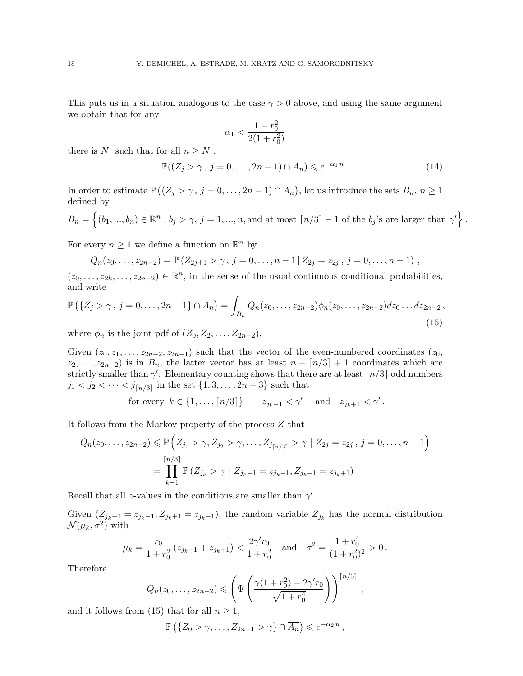This puts us in a situation analogous to the case  $\gamma > 0$  above, and using the same argument we obtain that for any

$$
\alpha_1 < \frac{1 - r_0^2}{2(1 + r_0^2)}
$$

there is  $N_1$  such that for all  $n \geq N_1$ ,

$$
\mathbb{P}((Z_j > \gamma, j = 0, \dots, 2n - 1) \cap A_n) \leqslant e^{-\alpha_1 n}.
$$
\n
$$
(14)
$$

In order to estimate  $\mathbb{P}\left((Z_j > \gamma, j = 0, \ldots, 2n-1) \cap \overline{A_n}\right)$ , let us introduce the sets  $B_n, n \geq 1$ defined by

$$
B_n = \left\{ (b_1, ..., b_n) \in \mathbb{R}^n : b_j > \gamma, j = 1, ..., n, \text{and at most } \lceil n/3 \rceil - 1 \text{ of the } b_j \text{'s are larger than } \gamma' \right\}.
$$

For every  $n \geq 1$  we define a function on  $\mathbb{R}^n$  by

$$
Q_n(z_0,\ldots,z_{2n-2})=\mathbb{P}\left(Z_{2j+1}>\gamma\,,\,j=0,\ldots,n-1\,|\,Z_{2j}=z_{2j}\,,\,j=0,\ldots,n-1\right)\,,
$$

 $(z_0,\ldots,z_{2k},\ldots,z_{2n-2})\in\mathbb{R}^n$ , in the sense of the usual continuous conditional probabilities, and write

$$
\mathbb{P}\left(\{Z_j > \gamma, j = 0, \ldots, 2n - 1\} \cap \overline{A_n}\right) = \int_{B_n} Q_n(z_0, \ldots, z_{2n-2}) \phi_n(z_0, \ldots, z_{2n-2}) dz_0 \ldots dz_{2n-2},
$$
\n(15)

where  $\phi_n$  is the joint pdf of  $(Z_0, Z_2, \ldots, Z_{2n-2})$ .

Given  $(z_0, z_1, \ldots, z_{2n-2}, z_{2n-1})$  such that the vector of the even-numbered coordinates  $(z_0, z_1, \ldots, z_{2n-2}, z_{2n-1})$  $z_2, \ldots, z_{2n-2}$ ) is in  $B_n$ , the latter vector has at least  $n - \lfloor n/3 \rfloor + 1$  coordinates which are strictly smaller than  $\gamma'$ . Elementary counting shows that there are at least  $\lceil n/3 \rceil$  odd numbers  $j_1 < j_2 < \cdots < j_{\lceil n/3 \rceil}$  in the set  $\{1, 3, \ldots, 2n-3\}$  such that

for every 
$$
k \in \{1, ..., \lceil n/3 \rceil\}
$$
  $z_{j_k-1} < \gamma'$  and  $z_{j_k+1} < \gamma'$ .

It follows from the Markov property of the process Z that

$$
Q_n(z_0, \ldots, z_{2n-2}) \leq \mathbb{P}\left(Z_{j_1} > \gamma, Z_{j_2} > \gamma, \ldots, Z_{j_{\lceil n/3 \rceil}} > \gamma \mid Z_{2j} = z_{2j}, j = 0, \ldots, n-1\right)
$$
  
= 
$$
\prod_{k=1}^{\lceil n/3 \rceil} \mathbb{P}\left(Z_{j_k} > \gamma \mid Z_{j_k-1} = z_{j_k-1}, Z_{j_k+1} = z_{j_k+1}\right).
$$

Recall that all z-values in the conditions are smaller than  $\gamma'$ .

Given  $(Z_{j_k-1} = z_{j_k-1}, Z_{j_k+1} = z_{j_k+1})$ , the random variable  $Z_{j_k}$  has the normal distribution  $\mathcal{N}(\mu_k, \sigma^2)$  with

$$
\mu_k = \frac{r_0}{1 + r_0^2} \left( z_{j_k - 1} + z_{j_k + 1} \right) < \frac{2\gamma' r_0}{1 + r_0^2} \quad \text{and} \quad \sigma^2 = \frac{1 + r_0^4}{(1 + r_0^2)^2} > 0 \,.
$$

Therefore

$$
Q_n(z_0,\ldots,z_{2n-2}) \leqslant \left(\Psi\left(\frac{\gamma(1+r_0^2)-2\gamma'r_0}{\sqrt{1+r_0^4}}\right)\right)^{\lceil n/3\rceil},
$$
\n(15) that for all  $n \geqslant 1$ .

and it follows from (15) that for all  $n \geq 1$ ,

$$
\mathbb{P}\left(\left\{Z_0 > \gamma, \ldots, Z_{2n-1} > \gamma\right\} \cap \overline{A_n}\right) \leqslant e^{-\alpha_2 n},
$$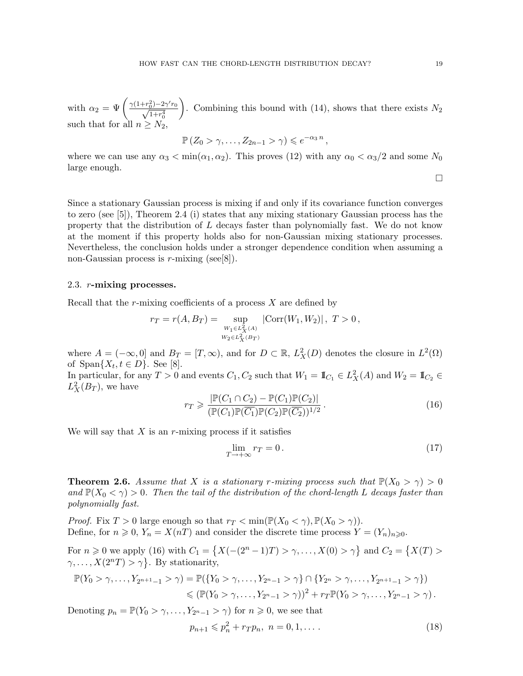with  $\alpha_2 = \Psi\left(\frac{\gamma(1+r_0^2)-2\gamma'r_0}{\sqrt{1+r_0^4}}\right)$  $1+r_0^4$ ). Combining this bound with (14), shows that there exists  $N_2$ such that for all  $n \geq N_2$ 

$$
\mathbb{P}\left(Z_0 > \gamma, \ldots, Z_{2n-1} > \gamma\right) \leqslant e^{-\alpha_3 n},
$$

where we can use any  $\alpha_3 < \min(\alpha_1, \alpha_2)$ . This proves (12) with any  $\alpha_0 < \alpha_3/2$  and some  $N_0$ large enough.

Since a stationary Gaussian process is mixing if and only if its covariance function converges to zero (see [5]), Theorem 2.4 (i) states that any mixing stationary Gaussian process has the property that the distribution of  $L$  decays faster than polynomially fast. We do not know at the moment if this property holds also for non-Gaussian mixing stationary processes. Nevertheless, the conclusion holds under a stronger dependence condition when assuming a non-Gaussian process is  $r$ -mixing (see[8]).

## 2.3. r-mixing processes.

Recall that the r-mixing coefficients of a process  $X$  are defined by

$$
r_T = r(A, B_T) = \sup_{\substack{W_1 \in L^2_X(A) \\ W_2 \in L^2_X(B_T)}} |\text{Corr}(W_1, W_2)|, T > 0,
$$

where  $A = (-\infty, 0]$  and  $B_T = [T, \infty)$ , and for  $D \subset \mathbb{R}$ ,  $L^2_X(D)$  denotes the closure in  $L^2(\Omega)$ of  $\text{Span}\{X_t, t \in D\}$ . See [8].

In particular, for any  $T > 0$  and events  $C_1, C_2$  such that  $W_1 = \mathbb{I}_{C_1} \in L^2_X(A)$  and  $W_2 = \mathbb{I}_{C_2} \in$  $L_X^2(B_T)$ , we have

$$
r_T \geq \frac{|\mathbb{P}(C_1 \cap C_2) - \mathbb{P}(C_1)\mathbb{P}(C_2)|}{(\mathbb{P}(C_1)\mathbb{P}(C_1)\mathbb{P}(C_2)\mathbb{P}(C_2))^{1/2}}.
$$
\n(16)

We will say that  $X$  is an r-mixing process if it satisfies

$$
\lim_{T \to +\infty} r_T = 0. \tag{17}
$$

**Theorem 2.6.** Assume that X is a stationary r-mixing process such that  $\mathbb{P}(X_0 > \gamma) > 0$ and  $\mathbb{P}(X_0 \leq \gamma) > 0$ . Then the tail of the distribution of the chord-length L decays faster than polynomially fast.

*Proof.* Fix  $T > 0$  large enough so that  $r_T < \min(\mathbb{P}(X_0 < \gamma), \mathbb{P}(X_0 > \gamma)).$ Define, for  $n \geq 0$ ,  $Y_n = X(nT)$  and consider the discrete time process  $Y = (Y_n)_{n \geq 0}$ .

For  $n \ge 0$  we apply (16) with  $C_1 = \{X(-(2^n-1)T) > \gamma, \ldots, X(0) > \gamma\}$  and  $C_2 = \{X(T) >$  $\gamma, \ldots, X(2^nT) > \gamma$ . By stationarity,

$$
\mathbb{P}(Y_0 > \gamma, \ldots, Y_{2^{n+1}-1} > \gamma) = \mathbb{P}(\{Y_0 > \gamma, \ldots, Y_{2^{n}-1} > \gamma\} \cap \{Y_{2^{n}} > \gamma, \ldots, Y_{2^{n+1}-1} > \gamma\})
$$
  
\$\leqslant (\mathbb{P}(Y\_0 > \gamma, \ldots, Y\_{2^{n}-1} > \gamma))^2 + r\_T \mathbb{P}(Y\_0 > \gamma, \ldots, Y\_{2^{n}-1} > \gamma).

Denoting  $p_n = \mathbb{P}(Y_0 > \gamma, \ldots, Y_{2^{n}-1} > \gamma)$  for  $n \geq 0$ , we see that

$$
p_{n+1} \leqslant p_n^2 + r_T p_n, \ n = 0, 1, \dots \tag{18}
$$

 $\Box$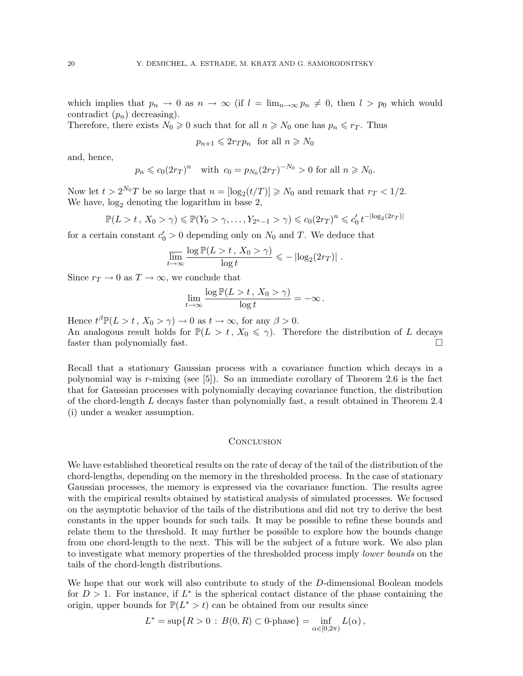which implies that  $p_n \to 0$  as  $n \to \infty$  (if  $l = \lim_{n \to \infty} p_n \neq 0$ , then  $l > p_0$  which would contradict  $(p_n)$  decreasing).

Therefore, there exists  $N_0 \geq 0$  such that for all  $n \geq N_0$  one has  $p_n \leq r_T$ . Thus

 $p_{n+1} \leqslant 2r_T p_n$  for all  $n \geqslant N_0$ 

and, hence,

$$
p_n \le c_0 (2r_T)^n
$$
 with  $c_0 = p_{N_0} (2r_T)^{-N_0} > 0$  for all  $n \ge N_0$ .

Now let  $t > 2^{N_0}T$  be so large that  $n = \lfloor \log_2(t/T) \rfloor \ge N_0$  and remark that  $r_T < 1/2$ . We have,  $log_2$  denoting the logarithm in base 2,

$$
\mathbb{P}(L > t, X_0 > \gamma) \le \mathbb{P}(Y_0 > \gamma, \dots, Y_{2^{n}-1} > \gamma) \le c_0 (2r_T)^n \le c'_0 t^{-|\log_2(2r_T)|}
$$

for a certain constant  $c'_0 > 0$  depending only on  $N_0$  and T. We deduce that

$$
\overline{\lim_{t \to \infty}} \frac{\log \mathbb{P}(L > t \, , \, X_0 > \gamma)}{\log t} \leqslant -\left| \log_2(2r_T) \right| \, .
$$

Since  $r_T \to 0$  as  $T \to \infty$ , we conclude that

$$
\lim_{t\to\infty}\frac{\log\mathbb{P}(L>t\,,\,X_0>\gamma)}{\log t}=-\infty\,.
$$

Hence  $t^{\beta} \mathbb{P}(L > t, X_0 > \gamma) \to 0$  as  $t \to \infty$ , for any  $\beta > 0$ .

An analogous result holds for  $\mathbb{P}(L > t, X_0 \leq \gamma)$ . Therefore the distribution of L decays faster than polynomially fast.

Recall that a stationary Gaussian process with a covariance function which decays in a polynomial way is r-mixing (see [5]). So an immediate corollary of Theorem 2.6 is the fact that for Gaussian processes with polynomially decaying covariance function, the distribution of the chord-length L decays faster than polynomially fast, a result obtained in Theorem 2.4 (i) under a weaker assumption.

### **CONCLUSION**

We have established theoretical results on the rate of decay of the tail of the distribution of the chord-lengths, depending on the memory in the thresholded process. In the case of stationary Gaussian processes, the memory is expressed via the covariance function. The results agree with the empirical results obtained by statistical analysis of simulated processes. We focused on the asymptotic behavior of the tails of the distributions and did not try to derive the best constants in the upper bounds for such tails. It may be possible to refine these bounds and relate them to the threshold. It may further be possible to explore how the bounds change from one chord-length to the next. This will be the subject of a future work. We also plan to investigate what memory properties of the thresholded process imply lower bounds on the tails of the chord-length distributions.

We hope that our work will also contribute to study of the D-dimensional Boolean models for  $D > 1$ . For instance, if  $L^*$  is the spherical contact distance of the phase containing the origin, upper bounds for  $\mathbb{P}(L^* > t)$  can be obtained from our results since

$$
L^* = \sup\{R > 0 : B(0,R) \subset 0\text{-phase}\} = \inf_{\alpha \in [0,2\pi)} L(\alpha),
$$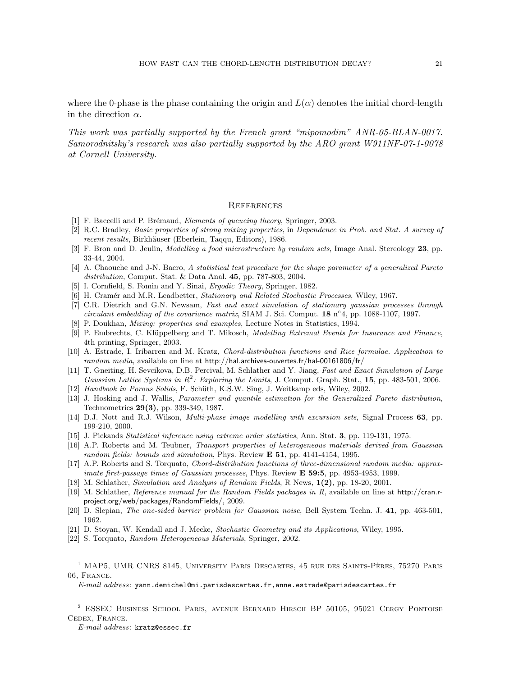where the 0-phase is the phase containing the origin and  $L(\alpha)$  denotes the initial chord-length in the direction  $\alpha$ .

This work was partially supported by the French grant "mipomodim" ANR-05-BLAN-0017. Samorodnitsky's research was also partially supported by the ARO grant W911NF-07-1-0078 at Cornell University.

#### **REFERENCES**

- [1] F. Baccelli and P. Brémaud, *Elements of queueing theory*, Springer, 2003.
- [2] R.C. Bradley, Basic properties of strong mixing properties, in Dependence in Prob. and Stat. A survey of recent results, Birkhäuser (Eberlein, Taqqu, Editors), 1986.
- [3] F. Bron and D. Jeulin, Modelling a food microstructure by random sets, Image Anal. Stereology 23, pp. 33-44, 2004.
- [4] A. Chaouche and J-N. Bacro, A statistical test procedure for the shape parameter of a generalized Pareto distribution, Comput. Stat. & Data Anal. 45, pp. 787-803, 2004.
- [5] I. Cornfield, S. Fomin and Y. Sinai, Ergodic Theory, Springer, 1982.
- [6] H. Cramér and M.R. Leadbetter, Stationary and Related Stochastic Processes, Wiley, 1967.
- [7] C.R. Dietrich and G.N. Newsam, Fast and exact simulation of stationary gaussian processes through circulant embedding of the covariance matrix, SIAM J. Sci. Comput.  $18 \text{ n}^{\circ}4$ , pp. 1088-1107, 1997.
- [8] P. Doukhan, Mixing: properties and examples, Lecture Notes in Statistics, 1994.
- [9] P. Embrechts, C. Klüppelberg and T. Mikosch, *Modelling Extremal Events for Insurance and Finance*, 4th printing, Springer, 2003.
- [10] A. Estrade, I. Iribarren and M. Kratz, Chord-distribution functions and Rice formulae. Application to random media, available on line at http://hal.archives-ouvertes.fr/hal-00161806/fr/
- [11] T. Gneiting, H. Sevcikova, D.B. Percival, M. Schlather and Y. Jiang, Fast and Exact Simulation of Large Gaussian Lattice Systems in  $R^2$ : Exploring the Limits, J. Comput. Graph. Stat., 15, pp. 483-501, 2006.
- [12] Handbook in Porous Solids, F. Schüth, K.S.W. Sing, J. Weitkamp eds, Wiley, 2002.
- [13] J. Hosking and J. Wallis, *Parameter and quantile estimation for the Generalized Pareto distribution*, Technometrics 29(3), pp. 339-349, 1987.
- [14] D.J. Nott and R.J. Wilson, *Multi-phase image modelling with excursion sets*, Signal Process 63, pp. 199-210, 2000.
- [15] J. Pickands Statistical inference using extreme order statistics, Ann. Stat. 3, pp. 119-131, 1975.
- [16] A.P. Roberts and M. Teubner, Transport properties of heterogeneous materials derived from Gaussian random fields: bounds and simulation, Phys. Review **E 51**, pp. 4141-4154, 1995.
- [17] A.P. Roberts and S. Torquato, Chord-distribution functions of three-dimensional random media: approximate first-passage times of Gaussian processes, Phys. Review **E 59:5**, pp. 4953-4953, 1999.
- [18] M. Schlather, Simulation and Analysis of Random Fields, R News,  $1(2)$ , pp. 18-20, 2001.
- [19] M. Schlather, Reference manual for the Random Fields packages in R, available on line at http://cran.rproject.org/web/packages/RandomFields/, 2009.
- [20] D. Slepian, The one-sided barrier problem for Gaussian noise, Bell System Techn. J. 41, pp. 463-501, 1962.
- [21] D. Stoyan, W. Kendall and J. Mecke, Stochastic Geometry and its Applications, Wiley, 1995.
- [22] S. Torquato, Random Heterogeneous Materials, Springer, 2002.

<sup>1</sup> MAP5, UMR CNRS 8145, UNIVERSITY PARIS DESCARTES, 45 RUE DES SAINTS-PÈRES, 75270 PARIS 06, France.

#### $E\text{-}mail\;address:$  yann.demichel@mi.parisdescartes.fr,anne.estrade@parisdescartes.fr

<sup>2</sup> ESSEC Business School Paris, avenue Bernard Hirsch BP 50105, 95021 Cergy Pontoise Cedex, France.

E-mail address: kratz@essec.fr